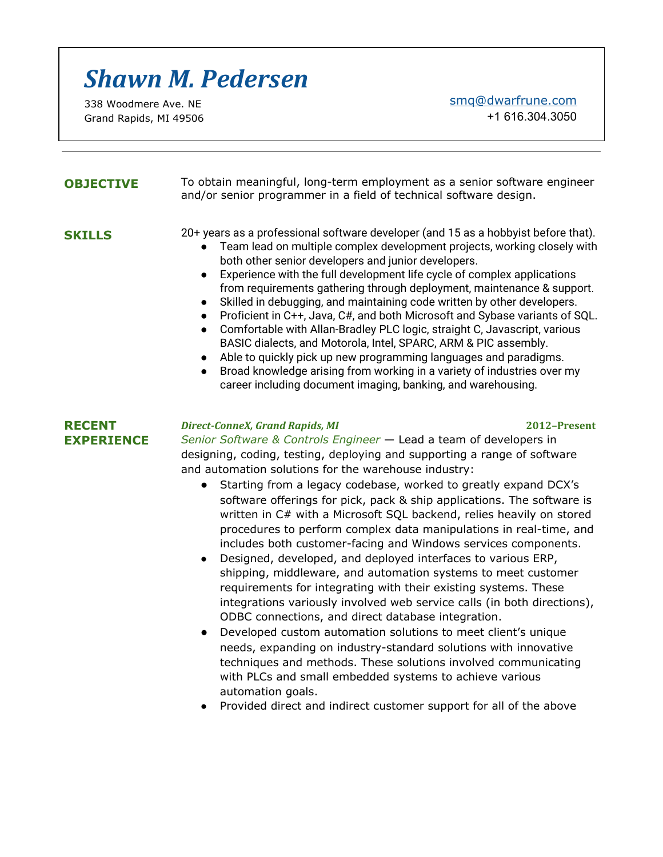# *Shawn M. Pedersen*

338 Woodmere Ave. NE Grand Rapids, MI 49506 [smq@dwarfrune.com](mailto:smq@dwarfrune.com)

+1 616.304.3050

**OBJECTIVE** To obtain meaningful, long-term employment as a senior software engineer and/or senior programmer in a field of technical software design.

- **SKILLS** 20+ years as a professional software developer (and 15 as a hobbyist before that).
	- Team lead on multiple complex development projects, working closely with both other senior developers and junior developers.
	- Experience with the full development life cycle of complex applications from requirements gathering through deployment, maintenance & support.
	- Skilled in debugging, and maintaining code written by other developers.
	- Proficient in C++, Java, C#, and both Microsoft and Sybase variants of SQL.
	- Comfortable with Allan-Bradley PLC logic, straight C, Javascript, various BASIC dialects, and Motorola, Intel, SPARC, ARM & PIC assembly.
	- Able to quickly pick up new programming languages and paradigms.
	- Broad knowledge arising from working in a variety of industries over my career including document imaging, banking, and warehousing.

### **RECENT EXPERIENCE**

### *Direct-ConneX, Grand Rapids, MI* **2012–Present**

*Senior Software & Controls Engineer* — Lead a team of developers in designing, coding, testing, deploying and supporting a range of software and automation solutions for the warehouse industry:

- Starting from a legacy codebase, worked to greatly expand DCX's software offerings for pick, pack & ship applications. The software is written in C# with a Microsoft SQL backend, relies heavily on stored procedures to perform complex data manipulations in real-time, and includes both customer-facing and Windows services components.
- Designed, developed, and deployed interfaces to various ERP, shipping, middleware, and automation systems to meet customer requirements for integrating with their existing systems. These integrations variously involved web service calls (in both directions), ODBC connections, and direct database integration.
- Developed custom automation solutions to meet client's unique needs, expanding on industry-standard solutions with innovative techniques and methods. These solutions involved communicating with PLCs and small embedded systems to achieve various automation goals.
- Provided direct and indirect customer support for all of the above